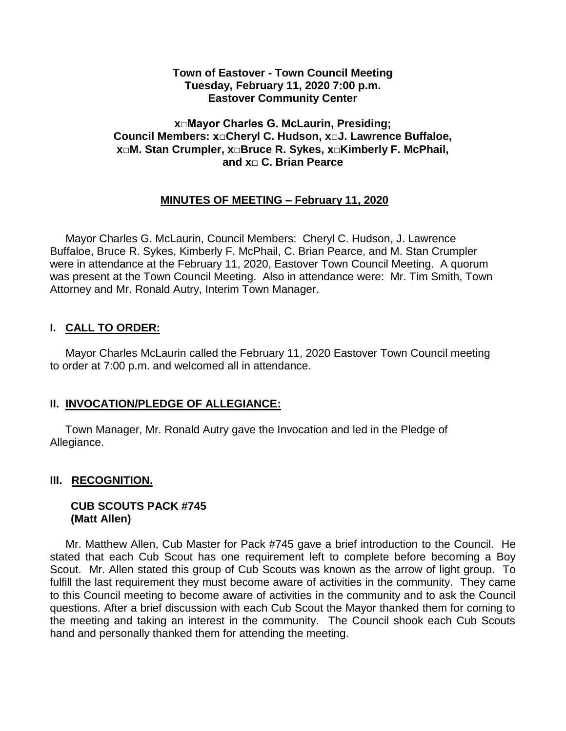#### **Town of Eastover - Town Council Meeting Tuesday, February 11, 2020 7:00 p.m. Eastover Community Center**

#### **x□Mayor Charles G. McLaurin, Presiding; Council Members: x□Cheryl C. Hudson, x□J. Lawrence Buffaloe, x□M. Stan Crumpler, x□Bruce R. Sykes, x□Kimberly F. McPhail, and x□ C. Brian Pearce**

## **MINUTES OF MEETING – February 11, 2020**

 Mayor Charles G. McLaurin, Council Members: Cheryl C. Hudson, J. Lawrence Buffaloe, Bruce R. Sykes, Kimberly F. McPhail, C. Brian Pearce, and M. Stan Crumpler were in attendance at the February 11, 2020, Eastover Town Council Meeting. A quorum was present at the Town Council Meeting. Also in attendance were: Mr. Tim Smith, Town Attorney and Mr. Ronald Autry, Interim Town Manager.

## **I. CALL TO ORDER:**

 Mayor Charles McLaurin called the February 11, 2020 Eastover Town Council meeting to order at 7:00 p.m. and welcomed all in attendance.

## **II. INVOCATION/PLEDGE OF ALLEGIANCE:**

 Town Manager, Mr. Ronald Autry gave the Invocation and led in the Pledge of Allegiance.

## **III. RECOGNITION.**

#### **CUB SCOUTS PACK #745 (Matt Allen)**

 Mr. Matthew Allen, Cub Master for Pack #745 gave a brief introduction to the Council. He stated that each Cub Scout has one requirement left to complete before becoming a Boy Scout. Mr. Allen stated this group of Cub Scouts was known as the arrow of light group. To fulfill the last requirement they must become aware of activities in the community. They came to this Council meeting to become aware of activities in the community and to ask the Council questions. After a brief discussion with each Cub Scout the Mayor thanked them for coming to the meeting and taking an interest in the community. The Council shook each Cub Scouts hand and personally thanked them for attending the meeting.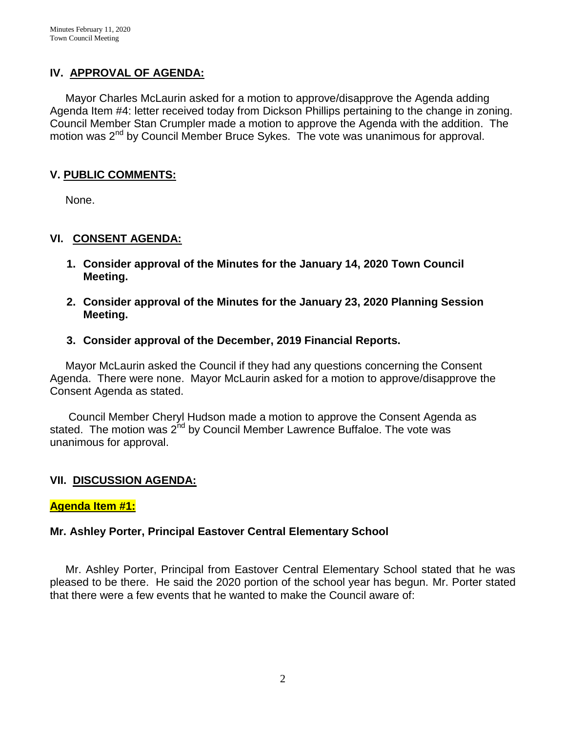## **IV. APPROVAL OF AGENDA:**

 Mayor Charles McLaurin asked for a motion to approve/disapprove the Agenda adding Agenda Item #4: letter received today from Dickson Phillips pertaining to the change in zoning. Council Member Stan Crumpler made a motion to approve the Agenda with the addition. The motion was 2<sup>nd</sup> by Council Member Bruce Sykes. The vote was unanimous for approval.

## **V. PUBLIC COMMENTS:**

None.

## **VI. CONSENT AGENDA:**

- **1. Consider approval of the Minutes for the January 14, 2020 Town Council Meeting.**
- **2. Consider approval of the Minutes for the January 23, 2020 Planning Session Meeting.**
- **3. Consider approval of the December, 2019 Financial Reports.**

 Mayor McLaurin asked the Council if they had any questions concerning the Consent Agenda. There were none. Mayor McLaurin asked for a motion to approve/disapprove the Consent Agenda as stated.

 Council Member Cheryl Hudson made a motion to approve the Consent Agenda as stated. The motion was  $2^{nd}$  by Council Member Lawrence Buffaloe. The vote was unanimous for approval.

## **VII. DISCUSSION AGENDA:**

## **Agenda Item #1:**

## **Mr. Ashley Porter, Principal Eastover Central Elementary School**

 Mr. Ashley Porter, Principal from Eastover Central Elementary School stated that he was pleased to be there. He said the 2020 portion of the school year has begun. Mr. Porter stated that there were a few events that he wanted to make the Council aware of: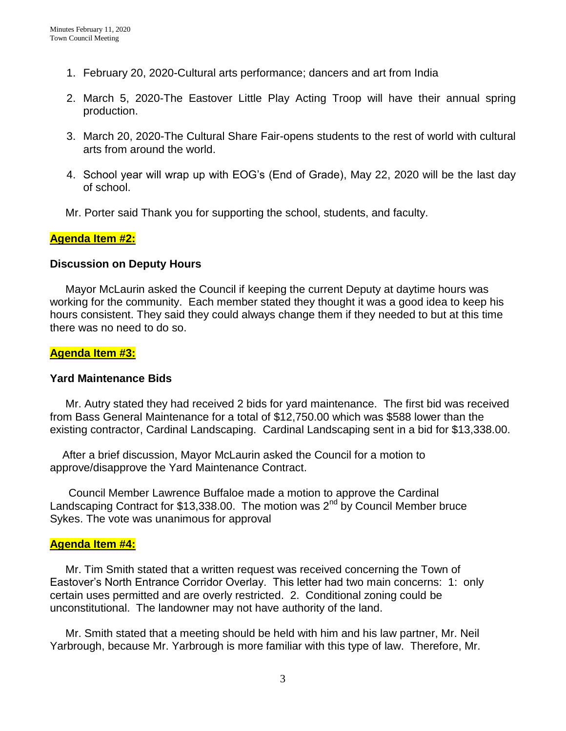- 1. February 20, 2020-Cultural arts performance; dancers and art from India
- 2. March 5, 2020-The Eastover Little Play Acting Troop will have their annual spring production.
- 3. March 20, 2020-The Cultural Share Fair-opens students to the rest of world with cultural arts from around the world.
- 4. School year will wrap up with EOG's (End of Grade), May 22, 2020 will be the last day of school.
- Mr. Porter said Thank you for supporting the school, students, and faculty.

## **Agenda Item #2:**

#### **Discussion on Deputy Hours**

 Mayor McLaurin asked the Council if keeping the current Deputy at daytime hours was working for the community. Each member stated they thought it was a good idea to keep his hours consistent. They said they could always change them if they needed to but at this time there was no need to do so.

## **Agenda Item #3:**

#### **Yard Maintenance Bids**

Mr. Autry stated they had received 2 bids for yard maintenance. The first bid was received from Bass General Maintenance for a total of \$12,750.00 which was \$588 lower than the existing contractor, Cardinal Landscaping. Cardinal Landscaping sent in a bid for \$13,338.00.

 After a brief discussion, Mayor McLaurin asked the Council for a motion to approve/disapprove the Yard Maintenance Contract.

 Council Member Lawrence Buffaloe made a motion to approve the Cardinal Landscaping Contract for \$13,338.00. The motion was  $2<sup>nd</sup>$  by Council Member bruce Sykes. The vote was unanimous for approval

#### **Agenda Item #4:**

 Mr. Tim Smith stated that a written request was received concerning the Town of Eastover's North Entrance Corridor Overlay. This letter had two main concerns: 1: only certain uses permitted and are overly restricted. 2. Conditional zoning could be unconstitutional. The landowner may not have authority of the land.

 Mr. Smith stated that a meeting should be held with him and his law partner, Mr. Neil Yarbrough, because Mr. Yarbrough is more familiar with this type of law. Therefore, Mr.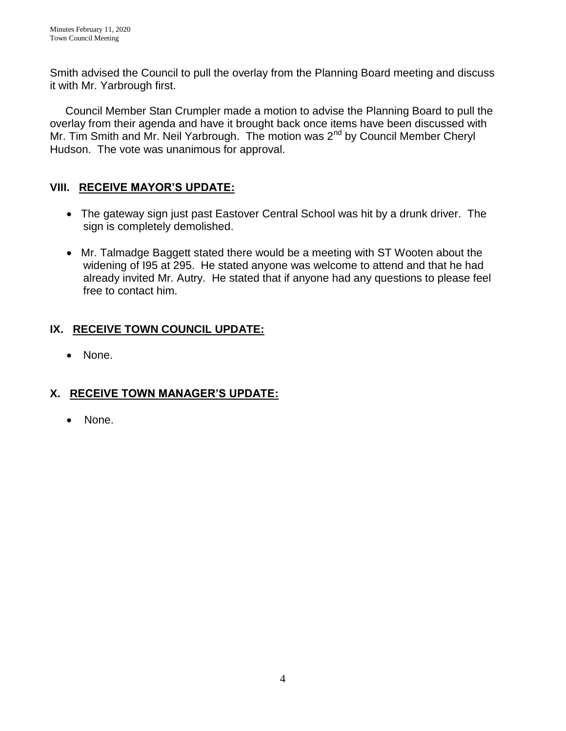Smith advised the Council to pull the overlay from the Planning Board meeting and discuss it with Mr. Yarbrough first.

 Council Member Stan Crumpler made a motion to advise the Planning Board to pull the overlay from their agenda and have it brought back once items have been discussed with Mr. Tim Smith and Mr. Neil Yarbrough. The motion was 2<sup>nd</sup> by Council Member Cheryl Hudson. The vote was unanimous for approval.

# **VIII. RECEIVE MAYOR'S UPDATE:**

- The gateway sign just past Eastover Central School was hit by a drunk driver. The sign is completely demolished.
- Mr. Talmadge Baggett stated there would be a meeting with ST Wooten about the widening of I95 at 295. He stated anyone was welcome to attend and that he had already invited Mr. Autry. He stated that if anyone had any questions to please feel free to contact him.

# **IX. RECEIVE TOWN COUNCIL UPDATE:**

• None.

# **X. RECEIVE TOWN MANAGER'S UPDATE:**

• None.